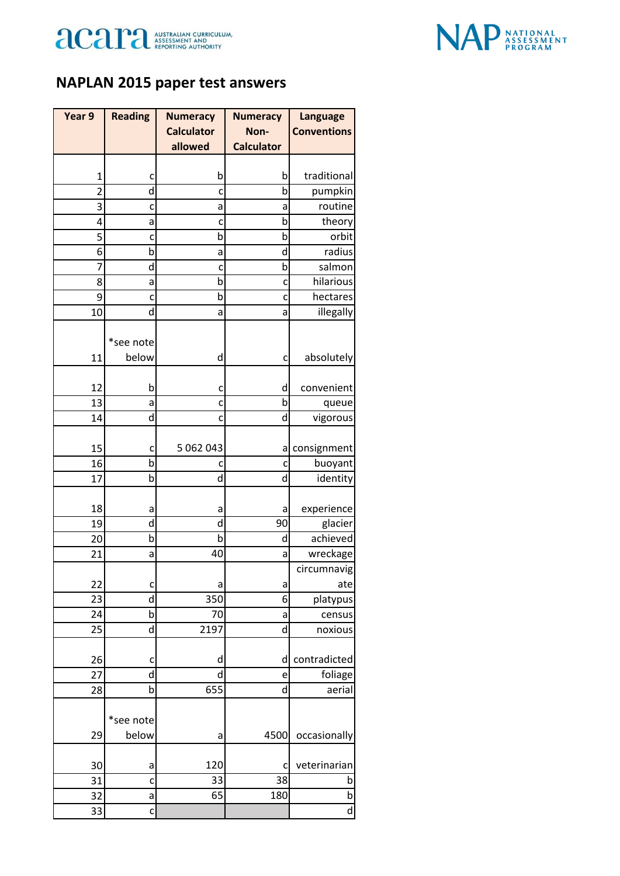



## **NAPLAN 2015 paper test answers**

| Year 9         | <b>Reading</b> | <b>Numeracy</b>   | <b>Numeracy</b>   | <b>Language</b>    |
|----------------|----------------|-------------------|-------------------|--------------------|
|                |                | <b>Calculator</b> | Non-              | <b>Conventions</b> |
|                |                | allowed           | <b>Calculator</b> |                    |
|                |                |                   |                   |                    |
| $\mathbf{1}$   | c              | b                 | b                 | traditional        |
| $\overline{2}$ | d              | c                 | b                 | pumpkin            |
| 3              | c              | a                 | а                 | routine            |
| 4              | a              | c                 | b                 | theory             |
| 5              | C              | b                 | b                 | orbit              |
| 6              | b              | a                 | d                 | radius             |
| 7              | d              | c                 | þ                 | salmon             |
| 8              | a              | b<br>b            | C                 | hilarious          |
| 9              | c<br>d         |                   | c                 | hectares           |
| 10             |                | a                 | a                 | illegally          |
|                | *see note      |                   |                   |                    |
| 11             | below          | d                 |                   | absolutely         |
|                |                |                   | c                 |                    |
| 12             | b              | c                 | d                 | convenient         |
| 13             | a              | c                 | b                 | queue              |
| 14             | d              | c                 | d                 | vigorous           |
|                |                |                   |                   |                    |
| 15             | C              | 5 062 043         | a                 | consignment        |
| 16             | þ              | c                 | c                 | buoyant            |
| 17             | b              | d                 | d                 | identity           |
|                |                |                   |                   |                    |
| 18             | a              | а                 | а                 | experience         |
| 19             | d              | d                 | 90                | glacier            |
| 20             | b              | b                 | d                 | achieved           |
| 21             | а              | 40                | a                 | wreckage           |
|                |                |                   |                   | circumnavig        |
| 22             | C              | a                 | a                 | ate                |
| 23             | d              | 350               | 6                 | platypus           |
| 24             | b              | 70                | a                 | census             |
| 25             | d              | 2197              | d                 | noxious            |
|                |                |                   |                   |                    |
| 26             | c              | d                 | d                 | contradicted       |
| 27             | d              | d                 | e                 | foliage            |
| 28             | b              | 655               | d                 | aerial             |
|                |                |                   |                   |                    |
|                | *see note      |                   |                   |                    |
| 29             | below          | а                 | 4500              | occasionally       |
|                |                |                   |                   |                    |
| 30             | a              | 120               | C                 | veterinarian       |
| 31             | c              | 33                | 38                | b                  |
| 32             | a              | 65                | 180               | $\mathsf b$        |
| 33             | C              |                   |                   | d                  |